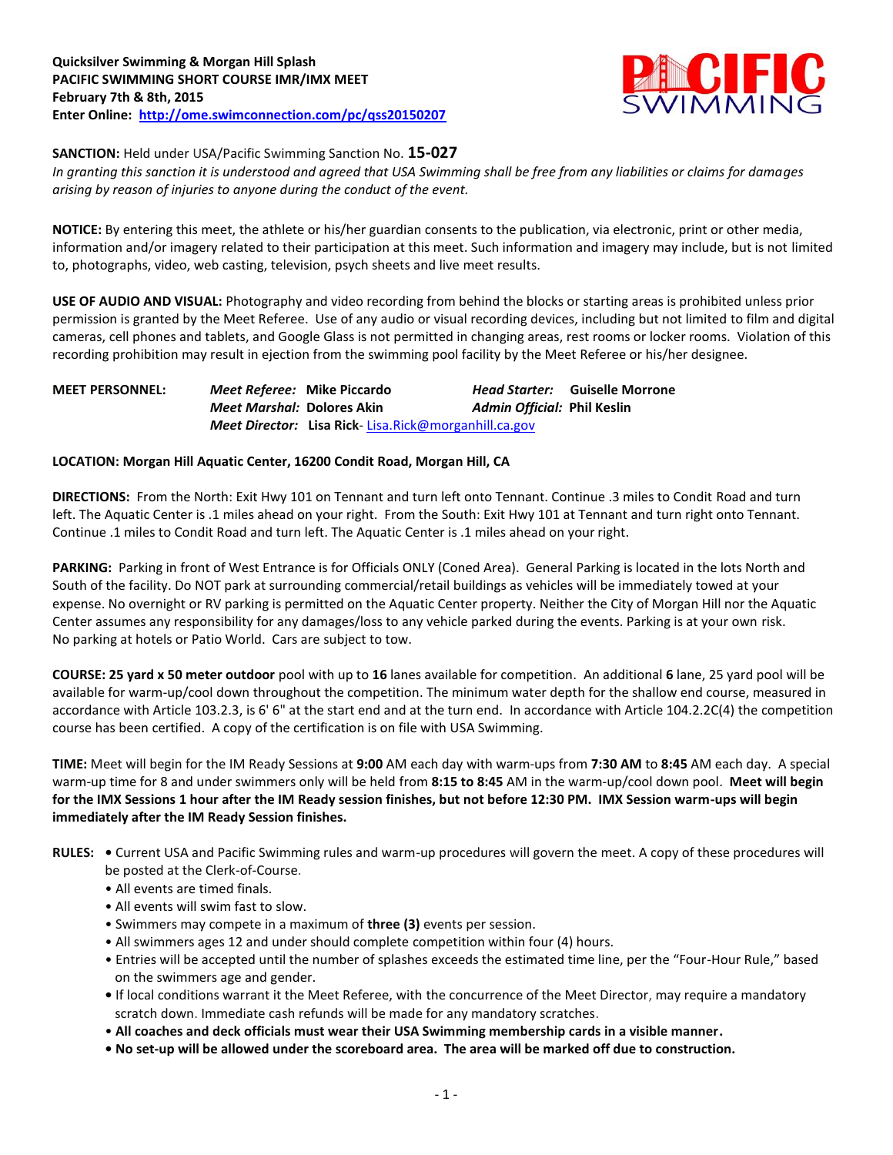

**SANCTION:** Held under USA/Pacific Swimming Sanction No. **15-027**

*In granting this sanction it is understood and agreed that USA Swimming shall be free from any liabilities or claims for damages arising by reason of injuries to anyone during the conduct of the event.*

**NOTICE:** By entering this meet, the athlete or his/her guardian consents to the publication, via electronic, print or other media, information and/or imagery related to their participation at this meet. Such information and imagery may include, but is not limited to, photographs, video, web casting, television, psych sheets and live meet results.

**USE OF AUDIO AND VISUAL:** Photography and video recording from behind the blocks or starting areas is prohibited unless prior permission is granted by the Meet Referee. Use of any audio or visual recording devices, including but not limited to film and digital cameras, cell phones and tablets, and Google Glass is not permitted in changing areas, rest rooms or locker rooms. Violation of this recording prohibition may result in ejection from the swimming pool facility by the Meet Referee or his/her designee.

**MEET PERSONNEL:** *Meet Referee:* **Mike Piccardo** *Head Starter:* **Guiselle Morrone** *Meet Marshal:* **Dolores Akin** *Admin Official:* **Phil Keslin** *Meet Director:* **Lisa Rick**- [Lisa.Rick@morganhill.ca.gov](mailto:Lisa.Rick@morganhill.ca.gov)

## **LOCATION: Morgan Hill Aquatic Center, 16200 Condit Road, Morgan Hill, CA**

**DIRECTIONS:** From the North: Exit Hwy 101 on Tennant and turn left onto Tennant. Continue .3 miles to Condit Road and turn left. The Aquatic Center is .1 miles ahead on your right. From the South: Exit Hwy 101 at Tennant and turn right onto Tennant. Continue .1 miles to Condit Road and turn left. The Aquatic Center is .1 miles ahead on your right.

**PARKING:** Parking in front of West Entrance is for Officials ONLY (Coned Area). General Parking is located in the lots North and South of the facility. Do NOT park at surrounding commercial/retail buildings as vehicles will be immediately towed at your expense. No overnight or RV parking is permitted on the Aquatic Center property. Neither the City of Morgan Hill nor the Aquatic Center assumes any responsibility for any damages/loss to any vehicle parked during the events. Parking is at your own risk. No parking at hotels or Patio World. Cars are subject to tow.

**COURSE: 25 yard x 50 meter outdoor** pool with up to **16** lanes available for competition.An additional **6** lane, 25 yard pool will be available for warm-up/cool down throughout the competition. The minimum water depth for the shallow end course, measured in accordance with Article 103.2.3, is 6' 6" at the start end and at the turn end. In accordance with Article 104.2.2C(4) the competition course has been certified. A copy of the certification is on file with USA Swimming.

**TIME:** Meet will begin for the IM Ready Sessions at **9:00** AM each day with warm-ups from **7:30 AM** to **8:45** AM each day. A special warm-up time for 8 and under swimmers only will be held from **8:15 to 8:45** AM in the warm-up/cool down pool. **Meet will begin for the IMX Sessions 1 hour after the IM Ready session finishes, but not before 12:30 PM. IMX Session warm-ups will begin immediately after the IM Ready Session finishes.**

- **RULES:** Current USA and Pacific Swimming rules and warm-up procedures will govern the meet. A copy of these procedures will be posted at the Clerk-of-Course.
	- All events are timed finals.
	- All events will swim fast to slow.
	- Swimmers may compete in a maximum of **three (3)** events per session.
	- All swimmers ages 12 and under should complete competition within four (4) hours.
	- Entries will be accepted until the number of splashes exceeds the estimated time line, per the "Four-Hour Rule," based on the swimmers age and gender.
	- If local conditions warrant it the Meet Referee, with the concurrence of the Meet Director, may require a mandatory scratch down. Immediate cash refunds will be made for any mandatory scratches.
	- **All coaches and deck officials must wear their USA Swimming membership cards in a visible manner.**
	- **No set-up will be allowed under the scoreboard area. The area will be marked off due to construction.**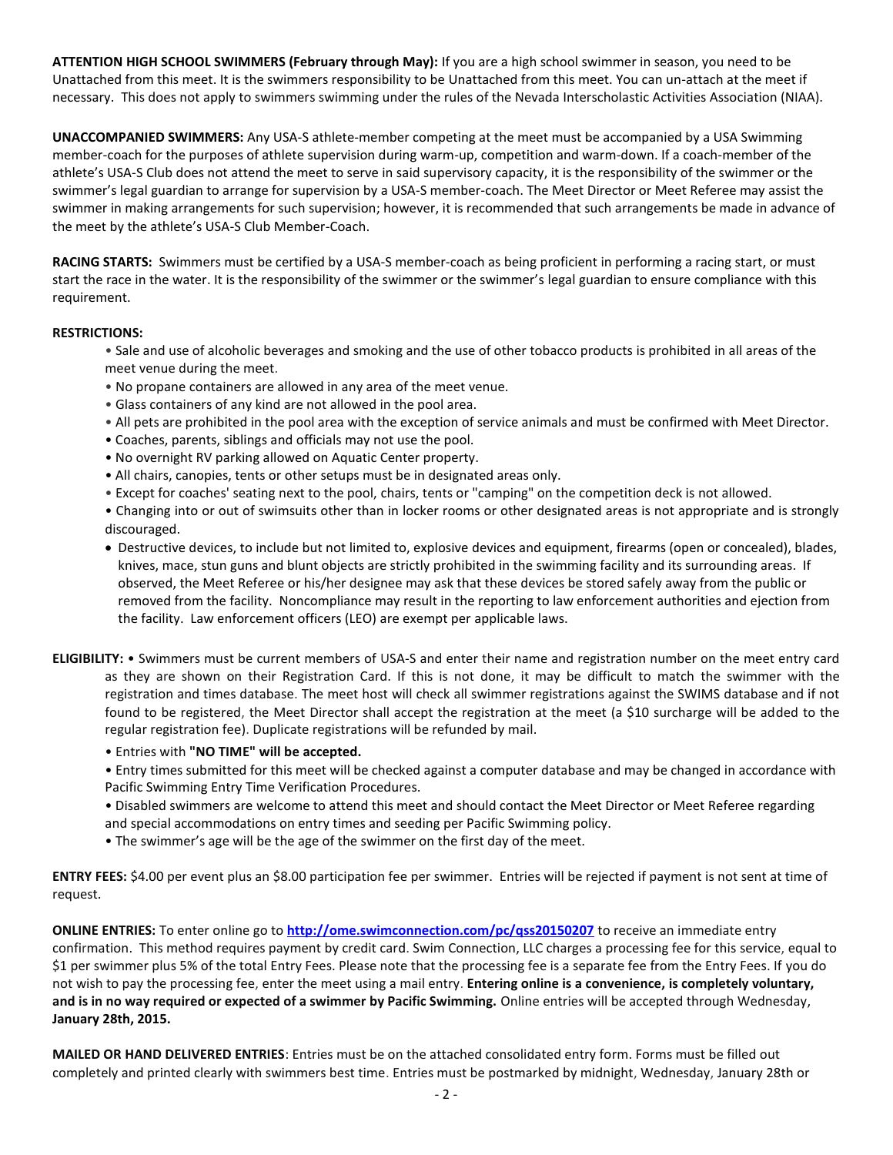**ATTENTION HIGH SCHOOL SWIMMERS (February through May):** If you are a high school swimmer in season, you need to be Unattached from this meet. It is the swimmers responsibility to be Unattached from this meet. You can un-attach at the meet if necessary. This does not apply to swimmers swimming under the rules of the Nevada Interscholastic Activities Association (NIAA).

**UNACCOMPANIED SWIMMERS:** Any USA-S athlete-member competing at the meet must be accompanied by a USA Swimming member-coach for the purposes of athlete supervision during warm-up, competition and warm-down. If a coach-member of the athlete's USA-S Club does not attend the meet to serve in said supervisory capacity, it is the responsibility of the swimmer or the swimmer's legal guardian to arrange for supervision by a USA-S member-coach. The Meet Director or Meet Referee may assist the swimmer in making arrangements for such supervision; however, it is recommended that such arrangements be made in advance of the meet by the athlete's USA-S Club Member-Coach.

**RACING STARTS:** Swimmers must be certified by a USA-S member-coach as being proficient in performing a racing start, or must start the race in the water. It is the responsibility of the swimmer or the swimmer's legal guardian to ensure compliance with this requirement.

## **RESTRICTIONS:**

- Sale and use of alcoholic beverages and smoking and the use of other tobacco products is prohibited in all areas of the meet venue during the meet.
- No propane containers are allowed in any area of the meet venue.
- Glass containers of any kind are not allowed in the pool area.
- All pets are prohibited in the pool area with the exception of service animals and must be confirmed with Meet Director.
- Coaches, parents, siblings and officials may not use the pool.
- No overnight RV parking allowed on Aquatic Center property.
- All chairs, canopies, tents or other setups must be in designated areas only.
- Except for coaches' seating next to the pool, chairs, tents or "camping" on the competition deck is not allowed.
- Changing into or out of swimsuits other than in locker rooms or other designated areas is not appropriate and is strongly discouraged.
- Destructive devices, to include but not limited to, explosive devices and equipment, firearms (open or concealed), blades, knives, mace, stun guns and blunt objects are strictly prohibited in the swimming facility and its surrounding areas. If observed, the Meet Referee or his/her designee may ask that these devices be stored safely away from the public or removed from the facility. Noncompliance may result in the reporting to law enforcement authorities and ejection from the facility. Law enforcement officers (LEO) are exempt per applicable laws.
- **ELIGIBILITY:** Swimmers must be current members of USA-S and enter their name and registration number on the meet entry card as they are shown on their Registration Card. If this is not done, it may be difficult to match the swimmer with the registration and times database. The meet host will check all swimmer registrations against the SWIMS database and if not found to be registered, the Meet Director shall accept the registration at the meet (a \$10 surcharge will be added to the regular registration fee). Duplicate registrations will be refunded by mail.
	- Entries with **"NO TIME" will be accepted.**

• Entry times submitted for this meet will be checked against a computer database and may be changed in accordance with Pacific Swimming Entry Time Verification Procedures.

- Disabled swimmers are welcome to attend this meet and should contact the Meet Director or Meet Referee regarding and special accommodations on entry times and seeding per Pacific Swimming policy.
- The swimmer's age will be the age of the swimmer on the first day of the meet.

**ENTRY FEES:** \$4.00 per event plus an \$8.00 participation fee per swimmer. Entries will be rejected if payment is not sent at time of request.

**ONLINE ENTRIES:** To enter online go to **<http://ome.swimconnection.com/pc/qss20150207>** to receive an immediate entry confirmation. This method requires payment by credit card. Swim Connection, LLC charges a processing fee for this service, equal to \$1 per swimmer plus 5% of the total Entry Fees. Please note that the processing fee is a separate fee from the Entry Fees. If you do not wish to pay the processing fee, enter the meet using a mail entry. **Entering online is a convenience, is completely voluntary, and is in no way required or expected of a swimmer by Pacific Swimming.** Online entries will be accepted through Wednesday, **January 28th, 2015.**

**MAILED OR HAND DELIVERED ENTRIES**: Entries must be on the attached consolidated entry form. Forms must be filled out completely and printed clearly with swimmers best time. Entries must be postmarked by midnight, Wednesday, January 28th or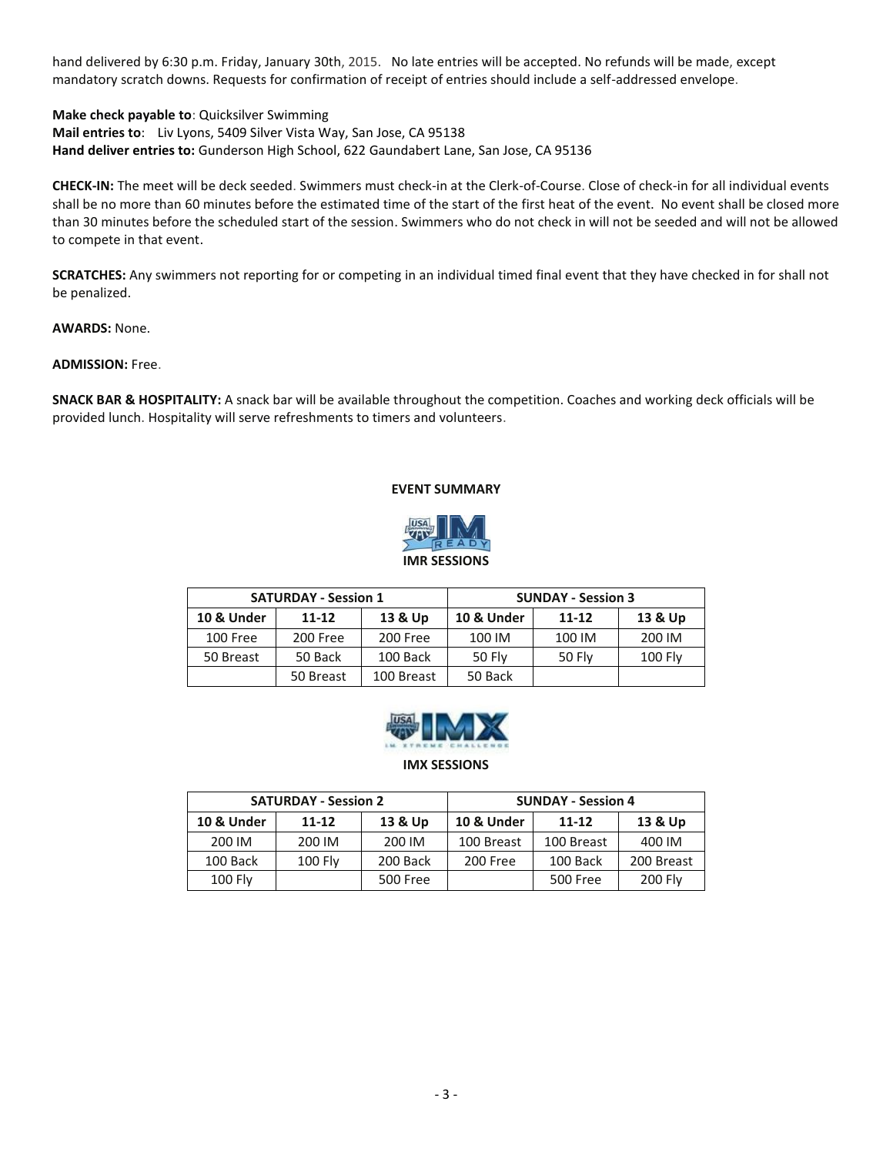hand delivered by 6:30 p.m. Friday, January 30th, 2015. No late entries will be accepted. No refunds will be made, except mandatory scratch downs. Requests for confirmation of receipt of entries should include a self-addressed envelope.

**Make check payable to**: Quicksilver Swimming **Mail entries to**: Liv Lyons, 5409 Silver Vista Way, San Jose, CA 95138 **Hand deliver entries to:** Gunderson High School, 622 Gaundabert Lane, San Jose, CA 95136

**CHECK-IN:** The meet will be deck seeded. Swimmers must check-in at the Clerk-of-Course. Close of check-in for all individual events shall be no more than 60 minutes before the estimated time of the start of the first heat of the event. No event shall be closed more than 30 minutes before the scheduled start of the session. Swimmers who do not check in will not be seeded and will not be allowed to compete in that event.

**SCRATCHES:** Any swimmers not reporting for or competing in an individual timed final event that they have checked in for shall not be penalized.

**AWARDS:** None.

## **ADMISSION:** Free.

**SNACK BAR & HOSPITALITY:** A snack bar will be available throughout the competition. Coaches and working deck officials will be provided lunch. Hospitality will serve refreshments to timers and volunteers.

## **EVENT SUMMARY**



|            | <b>SATURDAY - Session 1</b> |          | <b>SUNDAY - Session 3</b> |               |           |  |  |  |
|------------|-----------------------------|----------|---------------------------|---------------|-----------|--|--|--|
| 10 & Under | 13 & Up<br>$11 - 12$        |          | 10 & Under                | $11 - 12$     | 13 & Up   |  |  |  |
| 100 Free   | 200 Free                    | 200 Free | 100 IM                    | 100 IM        | 200 IM    |  |  |  |
| 50 Breast  | 50 Back                     | 100 Back | 50 Fly                    | <b>50 Flv</b> | $100$ Fly |  |  |  |
|            | 100 Breast<br>50 Breast     |          | 50 Back                   |               |           |  |  |  |



**IMX SESSIONS**

|                                    | <b>SATURDAY - Session 2</b> |                       | <b>SUNDAY - Session 4</b> |                 |            |  |  |  |
|------------------------------------|-----------------------------|-----------------------|---------------------------|-----------------|------------|--|--|--|
| 13 & Up<br>10 & Under<br>$11 - 12$ |                             | <b>10 &amp; Under</b> | 11-12                     | 13 & Up         |            |  |  |  |
| 200 IM                             | 200 IM                      | 200 IM                | 100 Breast                | 100 Breast      | 400 IM     |  |  |  |
| 100 Back                           | <b>100 Fly</b>              | 200 Back              | 200 Free                  | 100 Back        | 200 Breast |  |  |  |
| <b>100 Fly</b>                     |                             | <b>500 Free</b>       |                           | <b>500 Free</b> | 200 Fly    |  |  |  |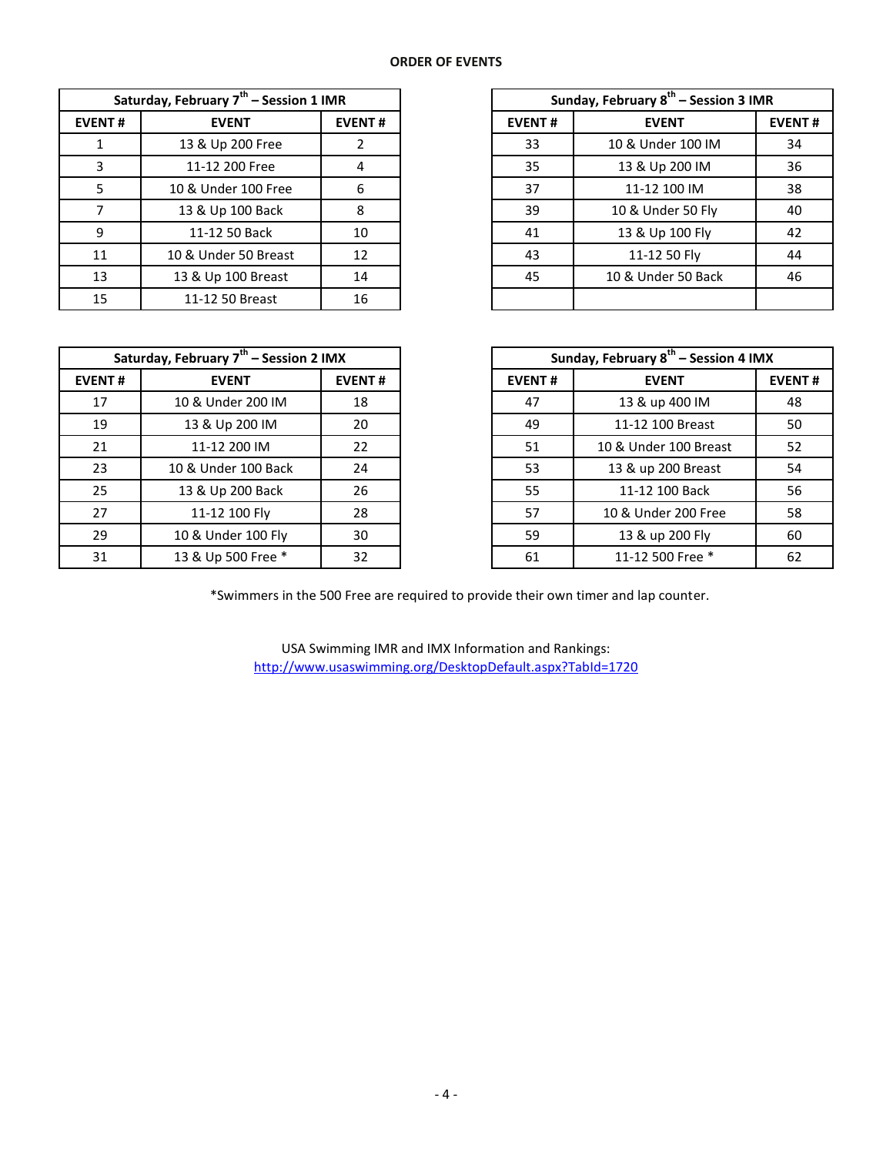| Saturday, February 7 <sup>th</sup> - Session 1 IMR |                      |               |  |  |  |  |  |  |
|----------------------------------------------------|----------------------|---------------|--|--|--|--|--|--|
| <b>EVENT#</b>                                      | <b>EVENT</b>         | <b>EVENT#</b> |  |  |  |  |  |  |
| 1                                                  | 13 & Up 200 Free     | 2             |  |  |  |  |  |  |
| 3                                                  | 11-12 200 Free       | 4             |  |  |  |  |  |  |
| 5                                                  | 10 & Under 100 Free  | 6             |  |  |  |  |  |  |
| 7                                                  | 13 & Up 100 Back     | 8             |  |  |  |  |  |  |
| 9                                                  | 11-12 50 Back        | 10            |  |  |  |  |  |  |
| 11                                                 | 10 & Under 50 Breast | 12            |  |  |  |  |  |  |
| 13                                                 | 13 & Up 100 Breast   | 14            |  |  |  |  |  |  |
| 15                                                 | 11-12 50 Breast      | 16            |  |  |  |  |  |  |

| Saturday, February 7 <sup>th</sup> – Session 1 IMR |                      |               | Sunday, February 8 <sup>th</sup> – Session 3 IMR |                    |               |
|----------------------------------------------------|----------------------|---------------|--------------------------------------------------|--------------------|---------------|
| <b>EVENT#</b>                                      | <b>EVENT</b>         | <b>EVENT#</b> | <b>EVENT#</b>                                    | <b>EVENT</b>       | <b>EVENT#</b> |
|                                                    | 13 & Up 200 Free     |               | 33                                               | 10 & Under 100 IM  | 34            |
| 3                                                  | 11-12 200 Free       | 4             | 35                                               | 13 & Up 200 IM     | 36            |
|                                                    | 10 & Under 100 Free  | 6             | 37                                               | 11-12 100 IM       | 38            |
|                                                    | 13 & Up 100 Back     | 8             | 39                                               | 10 & Under 50 Fly  | 40            |
| 9                                                  | 11-12 50 Back        | 10            | 41                                               | 13 & Up 100 Fly    | 42            |
| 11                                                 | 10 & Under 50 Breast | 12            | 43                                               | 11-12 50 Fly       | 44            |
| 13                                                 | 13 & Up 100 Breast   | 14            | 45                                               | 10 & Under 50 Back | 46            |
| 15                                                 | 11-12 50 Breast      | 16            |                                                  |                    |               |

| Saturday, February 7 <sup>th</sup> – Session 2 IMX |                     |               |  |  |  |  |  |  |
|----------------------------------------------------|---------------------|---------------|--|--|--|--|--|--|
| <b>EVENT#</b>                                      | <b>EVENT</b>        | <b>EVENT#</b> |  |  |  |  |  |  |
| 17                                                 | 10 & Under 200 IM   | 18            |  |  |  |  |  |  |
| 19                                                 | 13 & Up 200 IM      | 20            |  |  |  |  |  |  |
| 21                                                 | 11-12 200 IM        | 22            |  |  |  |  |  |  |
| 23                                                 | 10 & Under 100 Back | 24            |  |  |  |  |  |  |
| 25                                                 | 13 & Up 200 Back    | 26            |  |  |  |  |  |  |
| 27                                                 | 11-12 100 Fly       | 28            |  |  |  |  |  |  |
| 29                                                 | 10 & Under 100 Fly  | 30            |  |  |  |  |  |  |
| 31                                                 | 13 & Up 500 Free *  | 32            |  |  |  |  |  |  |

| Saturday, February 7 <sup>th</sup> – Session 2 IMX |                     |               | Sunday, February 8 <sup>th</sup> – Session 4 IMX |                       |               |  |
|----------------------------------------------------|---------------------|---------------|--------------------------------------------------|-----------------------|---------------|--|
| <b>EVENT#</b>                                      | <b>EVENT</b>        | <b>EVENT#</b> | <b>EVENT#</b>                                    | <b>EVENT</b>          | <b>EVENT#</b> |  |
| 17                                                 | 10 & Under 200 IM   | 18            | 47                                               | 13 & up 400 IM        | 48            |  |
| 19                                                 | 13 & Up 200 IM      | 20            | 49                                               | 11-12 100 Breast      | 50            |  |
| 21                                                 | 11-12 200 IM        | 22            | 51                                               | 10 & Under 100 Breast | 52            |  |
| 23                                                 | 10 & Under 100 Back | 24            | 53                                               | 13 & up 200 Breast    | 54            |  |
| 25                                                 | 13 & Up 200 Back    | 26            | 55                                               | 11-12 100 Back        | 56            |  |
| 27                                                 | 11-12 100 Fly       | 28            | 57                                               | 10 & Under 200 Free   | 58            |  |
| 29                                                 | 10 & Under 100 Fly  | 30            | 59                                               | 13 & up 200 Fly       | 60            |  |
| 31                                                 | 13 & Up 500 Free *  | 32            | 61                                               | 11-12 500 Free *      | 62            |  |

\*Swimmers in the 500 Free are required to provide their own timer and lap counter.

USA Swimming IMR and IMX Information and Rankings: <http://www.usaswimming.org/DesktopDefault.aspx?TabId=1720>